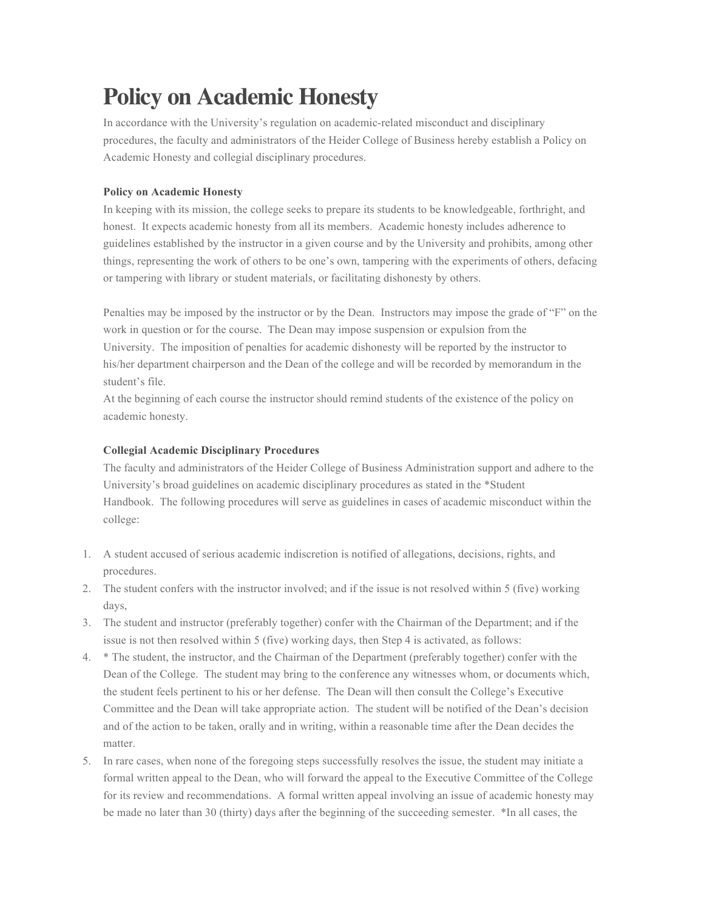## **Policy on Academic Honesty**

In accordance with the University's regulation on academic-related misconduct and disciplinary procedures, the faculty and administrators of the Heider College of Business hereby establish a Policy on Academic Honesty and collegial disciplinary procedures.

## **Policy on Academic Honesty**

In keeping with its mission, the college seeks to prepare its students to be knowledgeable, forthright, and honest. It expects academic honesty from all its members. Academic honesty includes adherence to guidelines established by the instructor in a given course and by the University and prohibits, among other things, representing the work of others to be one's own, tampering with the experiments of others, defacing or tampering with library or student materials, or facilitating dishonesty by others.

Penalties may be imposed by the instructor or by the Dean. Instructors may impose the grade of "F" on the work in question or for the course. The Dean may impose suspension or expulsion from the University. The imposition of penalties for academic dishonesty will be reported by the instructor to his/her department chairperson and the Dean of the college and will be recorded by memorandum in the student's file.

At the beginning of each course the instructor should remind students of the existence of the policy on academic honesty.

## **Collegial Academic Disciplinary Procedures**

The faculty and administrators of the Heider College of Business Administration support and adhere to the University's broad guidelines on academic disciplinary procedures as stated in the \*Student Handbook. The following procedures will serve as guidelines in cases of academic misconduct within the college:

- 1. A student accused of serious academic indiscretion is notified of allegations, decisions, rights, and procedures.
- 2. The student confers with the instructor involved; and if the issue is not resolved within 5 (five) working days,
- 3. The student and instructor (preferably together) confer with the Chairman of the Department; and if the issue is not then resolved within 5 (five) working days, then Step 4 is activated, as follows:
- 4. \* The student, the instructor, and the Chairman of the Department (preferably together) confer with the Dean of the College. The student may bring to the conference any witnesses whom, or documents which, the student feels pertinent to his or her defense. The Dean will then consult the College's Executive Committee and the Dean will take appropriate action. The student will be notified of the Dean's decision and of the action to be taken, orally and in writing, within a reasonable time after the Dean decides the matter.
- 5. In rare cases, when none of the foregoing steps successfully resolves the issue, the student may initiate a formal written appeal to the Dean, who will forward the appeal to the Executive Committee of the College for its review and recommendations. A formal written appeal involving an issue of academic honesty may be made no later than 30 (thirty) days after the beginning of the succeeding semester. \*In all cases, the